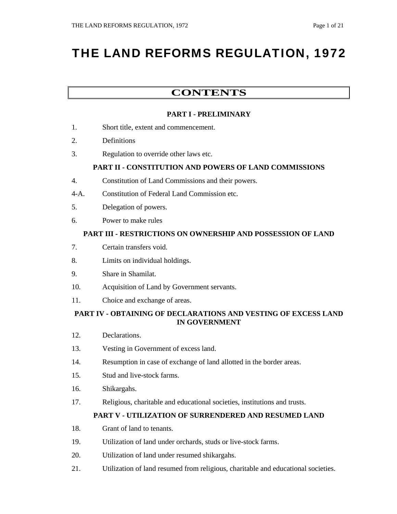# THE LAND REFORMS REGULATION, 1972

### **CONTENTS**

#### **PART I - PRELIMINARY**

- 1. Short title, extent and commencement.
- 2. Definitions
- 3. Regulation to override other laws etc.

#### **PART II - CONSTITUTION AND POWERS OF LAND COMMISSIONS**

- 4. Constitution of Land Commissions and their powers.
- 4-A. Constitution of Federal Land Commission etc.
- 5. Delegation of powers.
- 6. Power to make rules

#### **PART III - RESTRICTIONS ON OWNERSHIP AND POSSESSION OF LAND**

- 7. Certain transfers void.
- 8. Limits on individual holdings.
- 9. Share in Shamilat.
- 10. Acquisition of Land by Government servants.
- 11. Choice and exchange of areas.

#### **PART IV - OBTAINING OF DECLARATIONS AND VESTING OF EXCESS LAND IN GOVERNMENT**

- 12. Declarations.
- 13. Vesting in Government of excess land.
- 14. Resumption in case of exchange of land allotted in the border areas.
- 15. Stud and live-stock farms.
- 16. Shikargahs.
- 17. Religious, charitable and educational societies, institutions and trusts.

#### **PART V - UTILIZATION OF SURRENDERED AND RESUMED LAND**

- 18. Grant of land to tenants.
- 19. Utilization of land under orchards, studs or live-stock farms.
- 20. Utilization of land under resumed shikargahs.
- 21. Utilization of land resumed from religious, charitable and educational societies.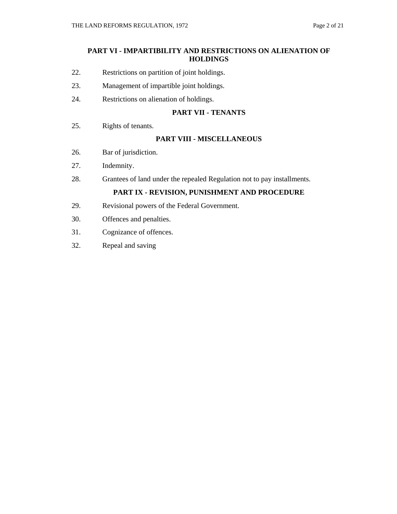#### **PART VI - IMPARTIBILITY AND RESTRICTIONS ON ALIENATION OF HOLDINGS**

- 22. Restrictions on partition of joint holdings.
- 23. Management of impartible joint holdings.
- 24. Restrictions on alienation of holdings.

#### **PART VII - TENANTS**

25. Rights of tenants.

#### **PART VIII - MISCELLANEOUS**

- 26. Bar of jurisdiction.
- 27. Indemnity.
- 28. Grantees of land under the repealed Regulation not to pay installments.

#### **PART IX - REVISION, PUNISHMENT AND PROCEDURE**

- 29. Revisional powers of the Federal Government.
- 30. Offences and penalties.
- 31. Cognizance of offences.
- 32. Repeal and saving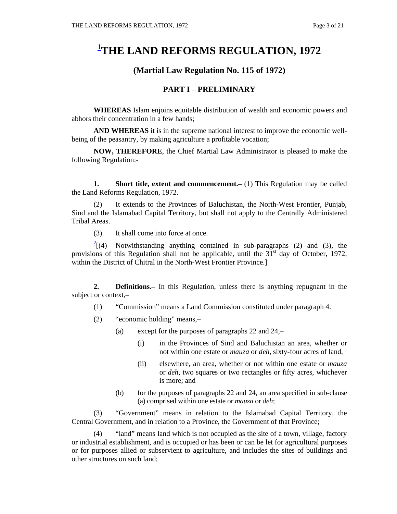## **1 THE LAND REFORMS REGULATION, 1972**

#### **(Martial Law Regulation No. 115 of 1972)**

#### **PART I** – **PRELIMINARY**

**WHEREAS** Islam enjoins equitable distribution of wealth and economic powers and abhors their concentration in a few hands;

**AND WHEREAS** it is in the supreme national interest to improve the economic wellbeing of the peasantry, by making agriculture a profitable vocation;

**NOW, THEREFORE**, the Chief Martial Law Administrator is pleased to make the following Regulation:-

**1. Short title, extent and commencement.** (1) This Regulation may be called the Land Reforms Regulation, 1972.

 (2) It extends to the Provinces of Baluchistan, the North-West Frontier, Punjab, Sind and the Islamabad Capital Territory, but shall not apply to the Centrally Administered Tribal Areas.

(3) It shall come into force at once.

 $2\frac{2}{1}$ (4) Notwithstanding anything contained in sub-paragraphs (2) and (3), the provisions of this Regulation shall not be applicable, until the  $31<sup>st</sup>$  day of October, 1972, within the District of Chitral in the North-West Frontier Province.]

**2. Definitions.–** In this Regulation, unless there is anything repugnant in the subject or context,–

- (1) "Commission" means a Land Commission constituted under paragraph 4.
- (2) "economic holding" means,–
	- (a) except for the purposes of paragraphs 22 and 24,–
		- (i) in the Provinces of Sind and Baluchistan an area, whether or not within one estate or *mauza* or *deh*, sixty-four acres of land,
		- (ii) elsewhere, an area, whether or not within one estate or *mauza* or *deh*, two squares or two rectangles or fifty acres, whichever is more; and
	- (b) for the purposes of paragraphs 22 and 24, an area specified in sub-clause (a) comprised within one estate or *mauza* or *deh*;

 (3) "Government" means in relation to the Islamabad Capital Territory, the Central Government, and in relation to a Province, the Government of that Province;

"land" means land which is not occupied as the site of a town, village, factory or industrial establishment, and is occupied or has been or can be let for agricultural purposes or for purposes allied or subservient to agriculture, and includes the sites of buildings and other structures on such land;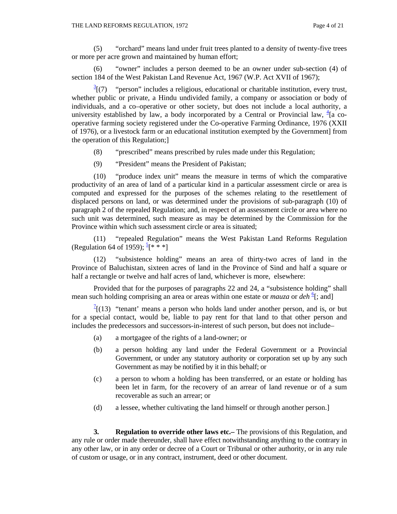(5) "orchard" means land under fruit trees planted to a density of twenty-five trees or more per acre grown and maintained by human effort;

 (6) "owner" includes a person deemed to be an owner under sub-section (4) of section 184 of the West Pakistan Land Revenue Act, 1967 (W.P. Act XVII of 1967);

 $\frac{3}{2}$ [(7) "person" includes a religious, educational or charitable institution, every trust, whether public or private, a Hindu undivided family, a company or association or body of individuals, and a co–operative or other society, but does not include a local authority, a university established by law, a body incorporated by a Central or Provincial law,  $\frac{4}{3}$  cooperative farming society registered under the Co-operative Farming Ordinance, 1976 (XXII of 1976), or a livestock farm or an educational institution exempted by the Government] from the operation of this Regulation;]

- (8) "prescribed" means prescribed by rules made under this Regulation;
- (9) "President" means the President of Pakistan;

 (10) "produce index unit" means the measure in terms of which the comparative productivity of an area of land of a particular kind in a particular assessment circle or area is computed and expressed for the purposes of the schemes relating to the resettlement of displaced persons on land, or was determined under the provisions of sub-paragraph (10) of paragraph 2 of the repealed Regulation; and, in respect of an assessment circle or area where no such unit was determined, such measure as may be determined by the Commission for the Province within which such assessment circle or area is situated;

 (11) "repealed Regulation" means the West Pakistan Land Reforms Regulation (Regulation 64 of 1959);  $\frac{5}{3}$ [\* \* \*]

 (12) "subsistence holding" means an area of thirty-two acres of land in the Province of Baluchistan, sixteen acres of land in the Province of Sind and half a square or half a rectangle or twelve and half acres of land, whichever is more, elsewhere:

 Provided that for the purposes of paragraphs 22 and 24, a "subsistence holding" shall mean such holding comprising an area or areas within one estate or *mauza* or *deh* <sup>6</sup>[; and]

 $T[(13)$  "tenant' means a person who holds land under another person, and is, or but for a special contact, would be, liable to pay rent for that land to that other person and includes the predecessors and successors-in-interest of such person, but does not include–

- (a) a mortgagee of the rights of a land-owner; or
- (b) a person holding any land under the Federal Government or a Provincial Government, or under any statutory authority or corporation set up by any such Government as may be notified by it in this behalf; or
- (c) a person to whom a holding has been transferred, or an estate or holding has been let in farm, for the recovery of an arrear of land revenue or of a sum recoverable as such an arrear; or
- (d) a lessee, whether cultivating the land himself or through another person.]

 **3. Regulation to override other laws etc.–** The provisions of this Regulation, and any rule or order made thereunder, shall have effect notwithstanding anything to the contrary in any other law, or in any order or decree of a Court or Tribunal or other authority, or in any rule of custom or usage, or in any contract, instrument, deed or other document.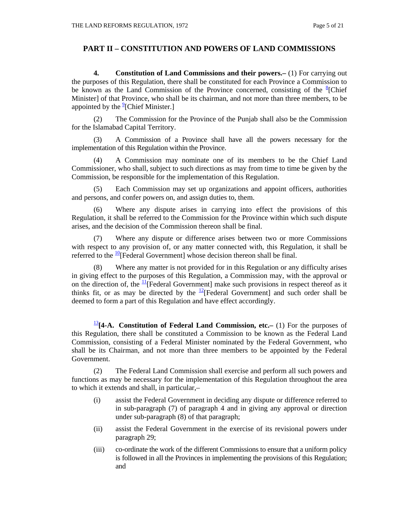#### **PART II – CONSTITUTION AND POWERS OF LAND COMMISSIONS**

 **4. Constitution of Land Commissions and their powers.–** (1) For carrying out the purposes of this Regulation, there shall be constituted for each Province a Commission to be known as the Land Commission of the Province concerned, consisting of the  ${}^{8}$ [Chief Minister] of that Province, who shall be its chairman, and not more than three members, to be appointed by the  $^{9}$ [Chief Minister.]

 (2) The Commission for the Province of the Punjab shall also be the Commission for the Islamabad Capital Territory.

 (3) A Commission of a Province shall have all the powers necessary for the implementation of this Regulation within the Province.

 (4) A Commission may nominate one of its members to be the Chief Land Commissioner, who shall, subject to such directions as may from time to time be given by the Commission, be responsible for the implementation of this Regulation.

 (5) Each Commission may set up organizations and appoint officers, authorities and persons, and confer powers on, and assign duties to, them.

 (6) Where any dispute arises in carrying into effect the provisions of this Regulation, it shall be referred to the Commission for the Province within which such dispute arises, and the decision of the Commission thereon shall be final.

 (7) Where any dispute or difference arises between two or more Commissions with respect to any provision of, or any matter connected with, this Regulation, it shall be referred to the  $\frac{10}{1}$ [Federal Government] whose decision thereon shall be final.

 (8) Where any matter is not provided for in this Regulation or any difficulty arises in giving effect to the purposes of this Regulation, a Commission may, with the approval or on the direction of, the  $\frac{11}{1}$ [Federal Government] make such provisions in respect thereof as it thinks fit, or as may be directed by the  $\frac{12}{2}$ [Federal Government] and such order shall be deemed to form a part of this Regulation and have effect accordingly.

<sup>13</sup>**[4-A. Constitution of Federal Land Commission, etc.–** (1) For the purposes of this Regulation, there shall be constituted a Commission to be known as the Federal Land Commission, consisting of a Federal Minister nominated by the Federal Government, who shall be its Chairman, and not more than three members to be appointed by the Federal Government.

 (2) The Federal Land Commission shall exercise and perform all such powers and functions as may be necessary for the implementation of this Regulation throughout the area to which it extends and shall, in particular,–

- (i) assist the Federal Government in deciding any dispute or difference referred to in sub-paragraph (7) of paragraph 4 and in giving any approval or direction under sub-paragraph (8) of that paragraph;
- (ii) assist the Federal Government in the exercise of its revisional powers under paragraph 29;
- (iii) co-ordinate the work of the different Commissions to ensure that a uniform policy is followed in all the Provinces in implementing the provisions of this Regulation; and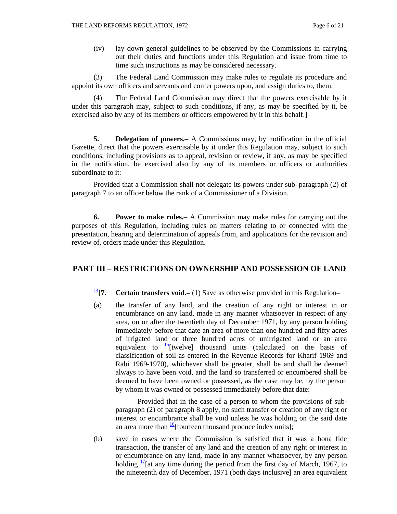(iv) lay down general guidelines to be observed by the Commissions in carrying out their duties and functions under this Regulation and issue from time to time such instructions as may be considered necessary.

 (3) The Federal Land Commission may make rules to regulate its procedure and appoint its own officers and servants and confer powers upon, and assign duties to, them.

 (4) The Federal Land Commission may direct that the powers exercisable by it under this paragraph may, subject to such conditions, if any, as may be specified by it, be exercised also by any of its members or officers empowered by it in this behalf.]

 **5. Delegation of powers.–** A Commissions may, by notification in the official Gazette, direct that the powers exercisable by it under this Regulation may, subject to such conditions, including provisions as to appeal, revision or review, if any, as may be specified in the notification, be exercised also by any of its members or officers or authorities subordinate to it:

 Provided that a Commission shall not delegate its powers under sub–paragraph (2) of paragraph 7 to an officer below the rank of a Commissioner of a Division.

 **6. Power to make rules.–** A Commission may make rules for carrying out the purposes of this Regulation, including rules on matters relating to or connected with the presentation, hearing and determination of appeals from, and applications for the revision and review of, orders made under this Regulation.

#### **PART III – RESTRICTIONS ON OWNERSHIP AND POSSESSION OF LAND**

<sup>14</sup>[7. **Certain transfers void.**– (1) Save as otherwise provided in this Regulation–

(a) the transfer of any land, and the creation of any right or interest in or encumbrance on any land, made in any manner whatsoever in respect of any area, on or after the twentieth day of December 1971, by any person holding immediately before that date an area of more than one hundred and fifty acres of irrigated land or three hundred acres of unirrigated land or an area equivalent to  $\frac{15}{2}$ [twelve] thousand units (calculated on the basis of classification of soil as entered in the Revenue Records for Kharif 1969 and Rabi 1969-1970), whichever shall be greater, shall be and shall be deemed always to have been void, and the land so transferred or encumbered shall be deemed to have been owned or possessed, as the case may be, by the person by whom it was owned or possessed immediately before that date:

 Provided that in the case of a person to whom the provisions of subparagraph (2) of paragraph 8 apply, no such transfer or creation of any right or interest or encumbrance shall be void unless he was holding on the said date an area more than  $\frac{16}{16}$ [fourteen thousand produce index units];

(b) save in cases where the Commission is satisfied that it was a bona fide transaction, the transfer of any land and the creation of any right or interest in or encumbrance on any land, made in any manner whatsoever, by any person holding  $\frac{17}{16}$  any time during the period from the first day of March, 1967, to the nineteenth day of December, 1971 (both days inclusive] an area equivalent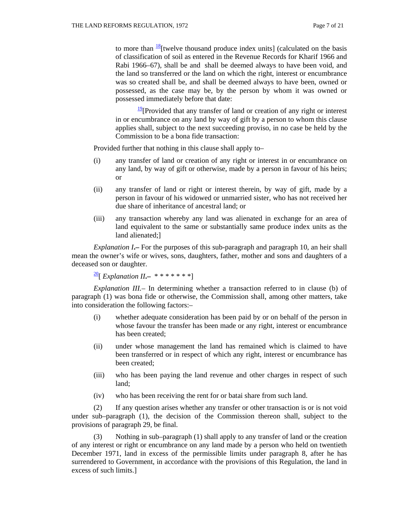to more than  $\frac{18}{18}$ [twelve thousand produce index units] (calculated on the basis of classification of soil as entered in the Revenue Records for Kharif 1966 and Rabi 1966–67), shall be and shall be deemed always to have been void, and the land so transferred or the land on which the right, interest or encumbrance was so created shall be, and shall be deemed always to have been, owned or possessed, as the case may be, by the person by whom it was owned or possessed immediately before that date:

 $\frac{19}{2}$ [Provided that any transfer of land or creation of any right or interest in or encumbrance on any land by way of gift by a person to whom this clause applies shall, subject to the next succeeding proviso, in no case be held by the Commission to be a bona fide transaction:

Provided further that nothing in this clause shall apply to–

- (i) any transfer of land or creation of any right or interest in or encumbrance on any land, by way of gift or otherwise, made by a person in favour of his heirs; or
- (ii) any transfer of land or right or interest therein, by way of gift, made by a person in favour of his widowed or unmarried sister, who has not received her due share of inheritance of ancestral land; or
- (iii) any transaction whereby any land was alienated in exchange for an area of land equivalent to the same or substantially same produce index units as the land alienated;]

*Explanation I***.–** For the purposes of this sub-paragraph and paragraph 10, an heir shall mean the owner's wife or wives, sons, daughters, father, mother and sons and daughters of a deceased son or daughter.

20[ *Explanation II***.–**\* \* \* \* \* \* \*]

*Explanation III.–* In determining whether a transaction referred to in clause (b) of paragraph (1) was bona fide or otherwise, the Commission shall, among other matters, take into consideration the following factors:–

- (i) whether adequate consideration has been paid by or on behalf of the person in whose favour the transfer has been made or any right, interest or encumbrance has been created;
- (ii) under whose management the land has remained which is claimed to have been transferred or in respect of which any right, interest or encumbrance has been created;
- (iii) who has been paying the land revenue and other charges in respect of such land;
- (iv) who has been receiving the rent for or batai share from such land.

 (2) If any question arises whether any transfer or other transaction is or is not void under sub–paragraph (1), the decision of the Commission thereon shall, subject to the provisions of paragraph 29, be final.

 (3) Nothing in sub–paragraph (1) shall apply to any transfer of land or the creation of any interest or right or encumbrance on any land made by a person who held on twentieth December 1971, land in excess of the permissible limits under paragraph 8, after he has surrendered to Government, in accordance with the provisions of this Regulation, the land in excess of such limits.]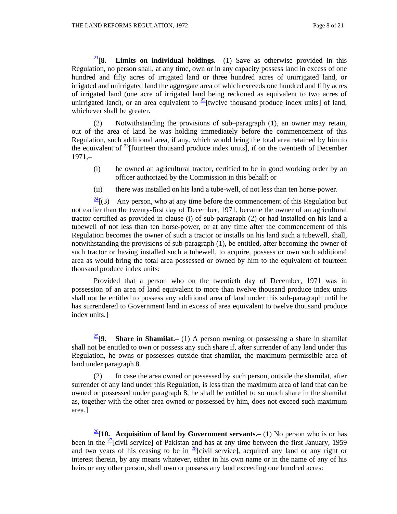$\frac{21}{8}$ . **Limits on individual holdings.**— (1) Save as otherwise provided in this Regulation, no person shall, at any time, own or in any capacity possess land in excess of one hundred and fifty acres of irrigated land or three hundred acres of unirrigated land, or irrigated and unirrigated land the aggregate area of which exceeds one hundred and fifty acres of irrigated land (one acre of irrigated land being reckoned as equivalent to two acres of unirrigated land), or an area equivalent to  $\frac{22}{}$  twelve thousand produce index units] of land, whichever shall be greater.

 (2) Notwithstanding the provisions of sub–paragraph (1), an owner may retain, out of the area of land he was holding immediately before the commencement of this Regulation, such additional area, if any, which would bring the total area retained by him to the equivalent of  $^{23}$ [fourteen thousand produce index units], if on the twentieth of December 1971,–

- (i) he owned an agricultural tractor, certified to be in good working order by an officer authorized by the Commission in this behalf; or
- (ii) there was installed on his land a tube-well, of not less than ten horse-power.

 $\frac{24}{3}$ [(3) Any person, who at any time before the commencement of this Regulation but not earlier than the twenty-first day of December, 1971, became the owner of an agricultural tractor certified as provided in clause (i) of sub-paragraph (2) or had installed on his land a tubewell of not less than ten horse-power, or at any time after the commencement of this Regulation becomes the owner of such a tractor or installs on his land such a tubewell, shall, notwithstanding the provisions of sub-paragraph (1), be entitled, after becoming the owner of such tractor or having installed such a tubewell, to acquire, possess or own such additional area as would bring the total area possessed or owned by him to the equivalent of fourteen thousand produce index units:

 Provided that a person who on the twentieth day of December, 1971 was in possession of an area of land equivalent to more than twelve thousand produce index units shall not be entitled to possess any additional area of land under this sub-paragraph until he has surrendered to Government land in excess of area equivalent to twelve thousand produce index units.]

<sup>25</sup>[9. **Share in Shamilat.–** (1) A person owning or possessing a share in shamilat shall not be entitled to own or possess any such share if, after surrender of any land under this Regulation, he owns or possesses outside that shamilat, the maximum permissible area of land under paragraph 8.

 (2) In case the area owned or possessed by such person, outside the shamilat, after surrender of any land under this Regulation, is less than the maximum area of land that can be owned or possessed under paragraph 8, he shall be entitled to so much share in the shamilat as, together with the other area owned or possessed by him, does not exceed such maximum area.]

 $\frac{26}{10}$ . **Acquisition of land by Government servants.** (1) No person who is or has been in the  $\frac{27}{1}$ [civil service] of Pakistan and has at any time between the first January, 1959 and two years of his ceasing to be in  $\frac{28}{12}$  civil service], acquired any land or any right or interest therein, by any means whatever, either in his own name or in the name of any of his heirs or any other person, shall own or possess any land exceeding one hundred acres: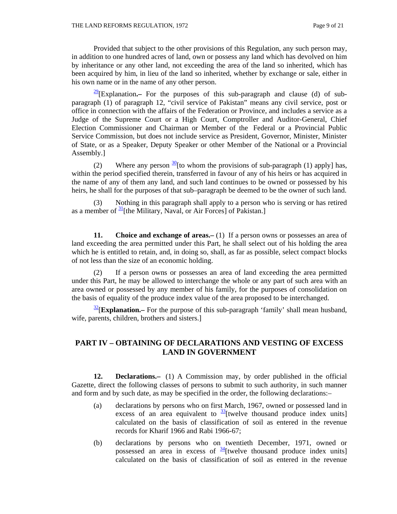Provided that subject to the other provisions of this Regulation, any such person may, in addition to one hundred acres of land, own or possess any land which has devolved on him by inheritance or any other land, not exceeding the area of the land so inherited, which has been acquired by him, in lieu of the land so inherited, whether by exchange or sale, either in his own name or in the name of any other person.

29[Explanation**.–** For the purposes of this sub-paragraph and clause (d) of subparagraph (1) of paragraph 12, "civil service of Pakistan" means any civil service, post or office in connection with the affairs of the Federation or Province, and includes a service as a Judge of the Supreme Court or a High Court, Comptroller and Auditor-General, Chief Election Commissioner and Chairman or Member of the Federal or a Provincial Public Service Commission, but does not include service as President, Governor, Minister, Minister of State, or as a Speaker, Deputy Speaker or other Member of the National or a Provincial Assembly.]

(2) Where any person  $\frac{30}{1}$  to whom the provisions of sub-paragraph (1) apply] has, within the period specified therein, transferred in favour of any of his heirs or has acquired in the name of any of them any land, and such land continues to be owned or possessed by his heirs, he shall for the purposes of that sub–paragraph be deemed to be the owner of such land.

 (3) Nothing in this paragraph shall apply to a person who is serving or has retired as a member of  $\frac{31}{1}$ [the Military, Naval, or Air Forces] of Pakistan.]

**11.** Choice and exchange of areas. (1) If a person owns or possesses an area of land exceeding the area permitted under this Part, he shall select out of his holding the area which he is entitled to retain, and, in doing so, shall, as far as possible, select compact blocks of not less than the size of an economic holding.

 (2) If a person owns or possesses an area of land exceeding the area permitted under this Part, he may be allowed to interchange the whole or any part of such area with an area owned or possessed by any member of his family, for the purposes of consolidation on the basis of equality of the produce index value of the area proposed to be interchanged.

<sup>32</sup>[Explanation.– For the purpose of this sub-paragraph 'family' shall mean husband, wife, parents, children, brothers and sisters.]

#### **PART IV – OBTAINING OF DECLARATIONS AND VESTING OF EXCESS LAND IN GOVERNMENT**

**12. Declarations.–** (1) A Commission may, by order published in the official Gazette, direct the following classes of persons to submit to such authority, in such manner and form and by such date, as may be specified in the order, the following declarations:–

- (a) declarations by persons who on first March, 1967, owned or possessed land in excess of an area equivalent to  $\frac{33}{3}$ [twelve thousand produce index units] calculated on the basis of classification of soil as entered in the revenue records for Kharif 1966 and Rabi 1966-67;
- (b) declarations by persons who on twentieth December, 1971, owned or possessed an area in excess of  $\frac{34}{1}$  twelve thousand produce index units calculated on the basis of classification of soil as entered in the revenue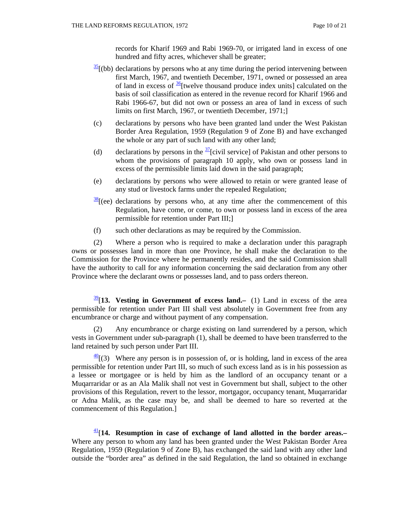records for Kharif 1969 and Rabi 1969-70, or irrigated land in excess of one hundred and fifty acres, whichever shall be greater;

- $\frac{35}{2}$ [(bb) declarations by persons who at any time during the period intervening between first March, 1967, and twentieth December, 1971, owned or possessed an area of land in excess of  $\frac{36}{6}$ [twelve thousand produce index units] calculated on the basis of soil classification as entered in the revenue record for Kharif 1966 and Rabi 1966-67, but did not own or possess an area of land in excess of such limits on first March, 1967, or twentieth December, 1971;]
- (c) declarations by persons who have been granted land under the West Pakistan Border Area Regulation, 1959 (Regulation 9 of Zone B) and have exchanged the whole or any part of such land with any other land;
- (d) declarations by persons in the  $\frac{37}{3}$ [civil service] of Pakistan and other persons to whom the provisions of paragraph 10 apply, who own or possess land in excess of the permissible limits laid down in the said paragraph;
- (e) declarations by persons who were allowed to retain or were granted lease of any stud or livestock farms under the repealed Regulation;
- $\frac{38}{3}$ [(ee) declarations by persons who, at any time after the commencement of this Regulation, have come, or come, to own or possess land in excess of the area permissible for retention under Part III;]
- (f) such other declarations as may be required by the Commission.

 (2) Where a person who is required to make a declaration under this paragraph owns or possesses land in more than one Province, he shall make the declaration to the Commission for the Province where he permanently resides, and the said Commission shall have the authority to call for any information concerning the said declaration from any other Province where the declarant owns or possesses land, and to pass orders thereon.

 $39$ [13. Vesting in Government of excess land.– (1) Land in excess of the area permissible for retention under Part III shall vest absolutely in Government free from any encumbrance or charge and without payment of any compensation.

 (2) Any encumbrance or charge existing on land surrendered by a person, which vests in Government under sub-paragraph (1), shall be deemed to have been transferred to the land retained by such person under Part III.

 $\frac{40}{10}$  (3) Where any person is in possession of, or is holding, land in excess of the area permissible for retention under Part III, so much of such excess land as is in his possession as a lessee or mortgagee or is held by him as the landlord of an occupancy tenant or a Muqarraridar or as an Ala Malik shall not vest in Government but shall, subject to the other provisions of this Regulation, revert to the lessor, mortgagor, occupancy tenant, Muqarraridar or Adna Malik, as the case may be, and shall be deemed to hare so reverted at the commencement of this Regulation.]

41[**14. Resumption in case of exchange of land allotted in the border areas.–**  Where any person to whom any land has been granted under the West Pakistan Border Area Regulation, 1959 (Regulation 9 of Zone B), has exchanged the said land with any other land outside the "border area" as defined in the said Regulation, the land so obtained in exchange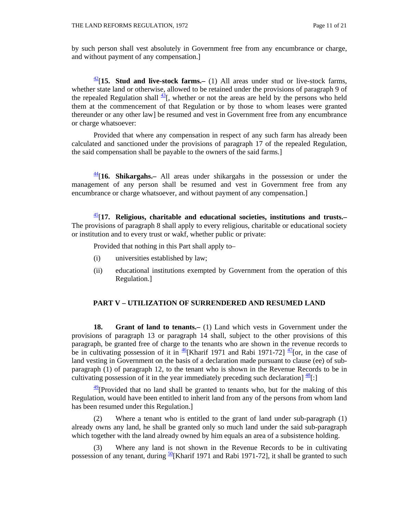by such person shall vest absolutely in Government free from any encumbrance or charge, and without payment of any compensation.]

 $\frac{42}{15}$ . **Stud and live-stock farms.** (1) All areas under stud or live-stock farms, whether state land or otherwise, allowed to be retained under the provisions of paragraph 9 of the repealed Regulation shall  $\frac{43}{3}$ , whether or not the areas are held by the persons who held them at the commencement of that Regulation or by those to whom leases were granted thereunder or any other law] be resumed and vest in Government free from any encumbrance or charge whatsoever:

 Provided that where any compensation in respect of any such farm has already been calculated and sanctioned under the provisions of paragraph 17 of the repealed Regulation, the said compensation shall be payable to the owners of the said farms.]

44[**16. Shikargahs.–** All areas under shikargahs in the possession or under the management of any person shall be resumed and vest in Government free from any encumbrance or charge whatsoever, and without payment of any compensation.]

45[**17. Religious, charitable and educational societies, institutions and trusts.–**  The provisions of paragraph 8 shall apply to every religious, charitable or educational society or institution and to every trust or wakf, whether public or private:

Provided that nothing in this Part shall apply to–

- (i) universities established by law;
- (ii) educational institutions exempted by Government from the operation of this Regulation.]

#### **PART V – UTILIZATION OF SURRENDERED AND RESUMED LAND**

**18. Grant of land to tenants.–** (1) Land which vests in Government under the provisions of paragraph 13 or paragraph 14 shall, subject to the other provisions of this paragraph, be granted free of charge to the tenants who are shown in the revenue records to be in cultivating possession of it in  $\frac{46}{1}$ [Kharif 1971 and Rabi 1971-72]  $\frac{47}{1}$ [or, in the case of land vesting in Government on the basis of a declaration made pursuant to clause (ee) of subparagraph (1) of paragraph 12, to the tenant who is shown in the Revenue Records to be in cultivating possession of it in the year immediately preceding such declaration]  $\frac{48}{1}$ :

 $\frac{49}{2}$ [Provided that no land shall be granted to tenants who, but for the making of this Regulation, would have been entitled to inherit land from any of the persons from whom land has been resumed under this Regulation.]

 (2) Where a tenant who is entitled to the grant of land under sub-paragraph (1) already owns any land, he shall be granted only so much land under the said sub-paragraph which together with the land already owned by him equals an area of a subsistence holding.

 (3) Where any land is not shown in the Revenue Records to be in cultivating possession of any tenant, during  $\frac{50}{1}$ [Kharif 1971 and Rabi 1971-72], it shall be granted to such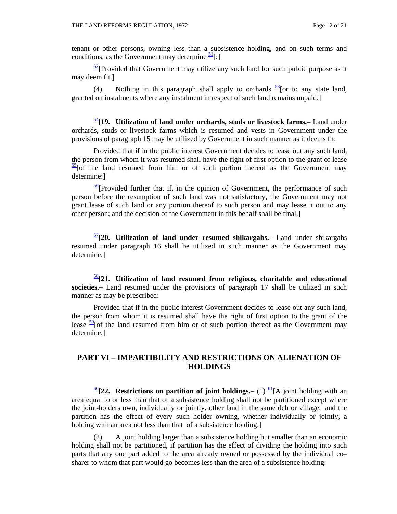tenant or other persons, owning less than a subsistence holding, and on such terms and conditions, as the Government may determine  $\frac{51}{1}$ :

 $\frac{52}{2}$ [Provided that Government may utilize any such land for such public purpose as it may deem fit.]

(4) Nothing in this paragraph shall apply to orchards  $\frac{53}{2}$  [or to any state land, granted on instalments where any instalment in respect of such land remains unpaid.]

54[**19. Utilization of land under orchards, studs or livestock farms.–** Land under orchards, studs or livestock farms which is resumed and vests in Government under the provisions of paragraph 15 may be utilized by Government in such manner as it deems fit:

 Provided that if in the public interest Government decides to lease out any such land, the person from whom it was resumed shall have the right of first option to the grant of lease  $\frac{55}{2}$ [of the land resumed from him or of such portion thereof as the Government may determine:]

 $\frac{56}{2}$ [Provided further that if, in the opinion of Government, the performance of such person before the resumption of such land was not satisfactory, the Government may not grant lease of such land or any portion thereof to such person and may lease it out to any other person; and the decision of the Government in this behalf shall be final.]

57[**20. Utilization of land under resumed shikargahs.–** Land under shikargahs resumed under paragraph 16 shall be utilized in such manner as the Government may determine.]

58[**21. Utilization of land resumed from religious, charitable and educational societies.–** Land resumed under the provisions of paragraph 17 shall be utilized in such manner as may be prescribed:

 Provided that if in the public interest Government decides to lease out any such land, the person from whom it is resumed shall have the right of first option to the grant of the lease  $\frac{59}{2}$  [of the land resumed from him or of such portion thereof as the Government may determine.]

#### **PART VI – IMPARTIBILITY AND RESTRICTIONS ON ALIENATION OF HOLDINGS**

 $\frac{60}{22}$ . **Restrictions on partition of joint holdings.** (1)  $\frac{61}{1}$  and holding with an area equal to or less than that of a subsistence holding shall not be partitioned except where the joint-holders own, individually or jointly, other land in the same deh or village, and the partition has the effect of every such holder owning, whether individually or jointly, a holding with an area not less than that of a subsistence holding.]

 (2) A joint holding larger than a subsistence holding but smaller than an economic holding shall not be partitioned, if partition has the effect of dividing the holding into such parts that any one part added to the area already owned or possessed by the individual co– sharer to whom that part would go becomes less than the area of a subsistence holding.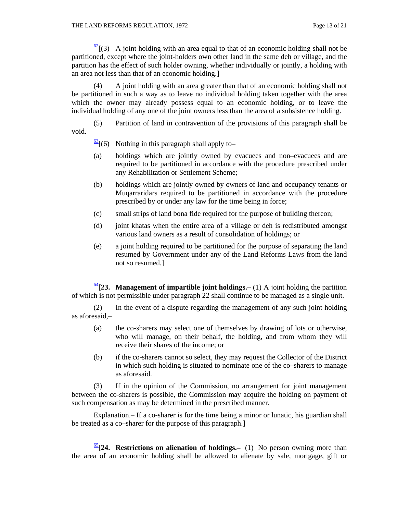$\frac{62}{3}$  (3) A joint holding with an area equal to that of an economic holding shall not be partitioned, except where the joint-holders own other land in the same deh or village, and the partition has the effect of such holder owning, whether individually or jointly, a holding with an area not less than that of an economic holding.]

 (4) A joint holding with an area greater than that of an economic holding shall not be partitioned in such a way as to leave no individual holding taken together with the area which the owner may already possess equal to an economic holding, or to leave the individual holding of any one of the joint owners less than the area of a subsistence holding.

 (5) Partition of land in contravention of the provisions of this paragraph shall be void.

 $\frac{63}{6}$ [(6) Nothing in this paragraph shall apply to-

- (a) holdings which are jointly owned by evacuees and non–evacuees and are required to be partitioned in accordance with the procedure prescribed under any Rehabilitation or Settlement Scheme;
- (b) holdings which are jointly owned by owners of land and occupancy tenants or Muqarraridars required to be partitioned in accordance with the procedure prescribed by or under any law for the time being in force;
- (c) small strips of land bona fide required for the purpose of building thereon;
- (d) joint khatas when the entire area of a village or deh is redistributed amongst various land owners as a result of consolidation of holdings; or
- (e) a joint holding required to be partitioned for the purpose of separating the land resumed by Government under any of the Land Reforms Laws from the land not so resumed.]

 $\frac{64}{23}$ . Management of impartible joint holdings. (1) A joint holding the partition of which is not permissible under paragraph 22 shall continue to be managed as a single unit.

 (2) In the event of a dispute regarding the management of any such joint holding as aforesaid,–

- (a) the co-sharers may select one of themselves by drawing of lots or otherwise, who will manage, on their behalf, the holding, and from whom they will receive their shares of the income; or
- (b) if the co-sharers cannot so select, they may request the Collector of the District in which such holding is situated to nominate one of the co–sharers to manage as aforesaid.

 (3) If in the opinion of the Commission, no arrangement for joint management between the co-sharers is possible, the Commission may acquire the holding on payment of such compensation as may be determined in the prescribed manner.

Explanation.– If a co-sharer is for the time being a minor or lunatic, his guardian shall be treated as a co–sharer for the purpose of this paragraph.]

 $\frac{65}{24}$ . Restrictions on alienation of holdings.— (1) No person owning more than the area of an economic holding shall be allowed to alienate by sale, mortgage, gift or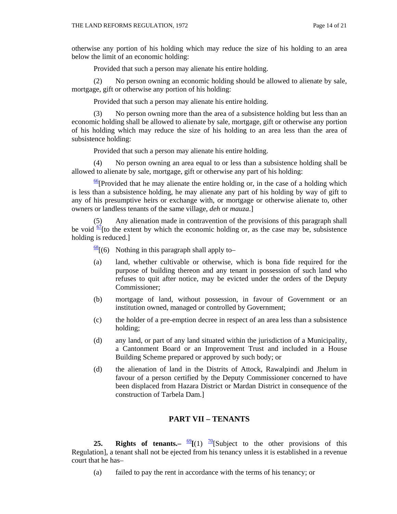otherwise any portion of his holding which may reduce the size of his holding to an area below the limit of an economic holding:

Provided that such a person may alienate his entire holding.

 (2) No person owning an economic holding should be allowed to alienate by sale, mortgage, gift or otherwise any portion of his holding:

Provided that such a person may alienate his entire holding.

 (3) No person owning more than the area of a subsistence holding but less than an economic holding shall be allowed to alienate by sale, mortgage, gift or otherwise any portion of his holding which may reduce the size of his holding to an area less than the area of subsistence holding:

Provided that such a person may alienate his entire holding.

 (4) No person owning an area equal to or less than a subsistence holding shall be allowed to alienate by sale, mortgage, gift or otherwise any part of his holding:

 $\frac{66}{2}$ [Provided that he may alienate the entire holding or, in the case of a holding which is less than a subsistence holding, he may alienate any part of his holding by way of gift to any of his presumptive heirs or exchange with, or mortgage or otherwise alienate to, other owners or landless tenants of the same village, *deh* or *mauza*.]

 (5) Any alienation made in contravention of the provisions of this paragraph shall be void  $\frac{67}{1}$  to the extent by which the economic holding or, as the case may be, subsistence holding is reduced.]

 $\frac{68}{6}$ [(6) Nothing in this paragraph shall apply to-

- (a) land, whether cultivable or otherwise, which is bona fide required for the purpose of building thereon and any tenant in possession of such land who refuses to quit after notice, may be evicted under the orders of the Deputy Commissioner;
- (b) mortgage of land, without possession, in favour of Government or an institution owned, managed or controlled by Government;
- (c) the holder of a pre-emption decree in respect of an area less than a subsistence holding;
- (d) any land, or part of any land situated within the jurisdiction of a Municipality, a Cantonment Board or an Improvement Trust and included in a House Building Scheme prepared or approved by such body; or
- (d) the alienation of land in the Distrits of Attock, Rawalpindi and Jhelum in favour of a person certified by the Deputy Commissioner concerned to have been displaced from Hazara District or Mardan District in consequence of the construction of Tarbela Dam.]

#### **PART VII – TENANTS**

**25. Rights of tenants.–**  $\frac{69}{2}$ **[(1)**  $\frac{70}{2}$ **[Subject to the other provisions of this** Regulation], a tenant shall not be ejected from his tenancy unless it is established in a revenue court that he has–

(a) failed to pay the rent in accordance with the terms of his tenancy; or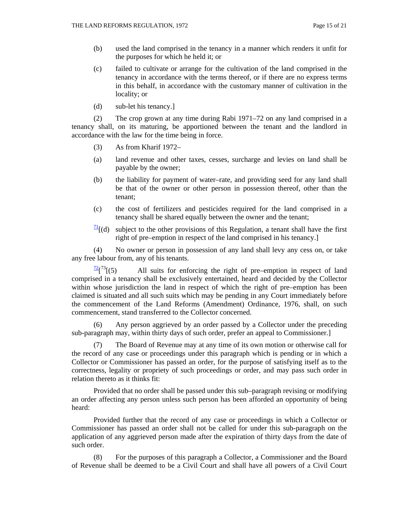- (b) used the land comprised in the tenancy in a manner which renders it unfit for the purposes for which he held it; or
- (c) failed to cultivate or arrange for the cultivation of the land comprised in the tenancy in accordance with the terms thereof, or if there are no express terms in this behalf, in accordance with the customary manner of cultivation in the locality; or
- (d) sub-let his tenancy.]

 (2) The crop grown at any time during Rabi 1971–72 on any land comprised in a tenancy shall, on its maturing, be apportioned between the tenant and the landlord in accordance with the law for the time being in force.

- (3) As from Kharif 1972–
- (a) land revenue and other taxes, cesses, surcharge and levies on land shall be payable by the owner;
- (b) the liability for payment of water–rate, and providing seed for any land shall be that of the owner or other person in possession thereof, other than the tenant;
- (c) the cost of fertilizers and pesticides required for the land comprised in a tenancy shall be shared equally between the owner and the tenant;
- $\frac{71}{11}$ [(d) subject to the other provisions of this Regulation, a tenant shall have the first right of pre–emption in respect of the land comprised in his tenancy.]

 (4) No owner or person in possession of any land shall levy any cess on, or take any free labour from, any of his tenants.

 $\frac{72}{1}$ [(5) All suits for enforcing the right of pre–emption in respect of land comprised in a tenancy shall be exclusively entertained, heard and decided by the Collector within whose jurisdiction the land in respect of which the right of pre–emption has been claimed is situated and all such suits which may be pending in any Court immediately before the commencement of the Land Reforms (Amendment) Ordinance, 1976, shall, on such commencement, stand transferred to the Collector concerned.

 (6) Any person aggrieved by an order passed by a Collector under the preceding sub-paragraph may, within thirty days of such order, prefer an appeal to Commissioner.]

 (7) The Board of Revenue may at any time of its own motion or otherwise call for the record of any case or proceedings under this paragraph which is pending or in which a Collector or Commissioner has passed an order, for the purpose of satisfying itself as to the correctness, legality or propriety of such proceedings or order, and may pass such order in relation thereto as it thinks fit:

 Provided that no order shall be passed under this sub–paragraph revising or modifying an order affecting any person unless such person has been afforded an opportunity of being heard:

 Provided further that the record of any case or proceedings in which a Collector or Commissioner has passed an order shall not be called for under this sub-paragraph on the application of any aggrieved person made after the expiration of thirty days from the date of such order.

 (8) For the purposes of this paragraph a Collector, a Commissioner and the Board of Revenue shall be deemed to be a Civil Court and shall have all powers of a Civil Court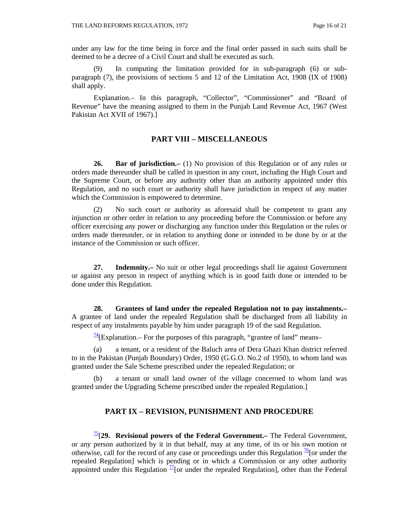under any law for the time being in force and the final order passed in such suits shall be deemed to be a decree of a Civil Court and shall be executed as such.

 (9) In computing the limitation provided for in sub-paragraph (6) or subparagraph (7), the provisions of sections 5 and 12 of the Limitation Act, 1908 (IX of 1908) shall apply.

 Explanation.– In this paragraph, "Collector", "Commissioner" and "Board of Revenue" have the meaning assigned to them in the Punjab Land Revenue Act, 1967 (West Pakistan Act XVII of 1967).]

#### **PART VIII – MISCELLANEOUS**

**26. Bar of jurisdiction.–** (1) No provision of this Regulation or of any rules or orders made thereunder shall be called in question in any court, including the High Court and the Supreme Court, or before any authority other than an authority appointed under this Regulation, and no such court or authority shall have jurisdiction in respect of any matter which the Commission is empowered to determine.

 (2) No such court or authority as aforesaid shall be competent to grant any injunction or other order in relation to any proceeding before the Commission or before any officer exercising any power or discharging any function under this Regulation or the rules or orders made thereunder, or in relation to anything done or intended to be done by or at the instance of the Commission or such officer.

**27. Indemnity.–** No suit or other legal proceedings shall lie against Government or against any person in respect of anything which is in good faith done or intended to be done under this Regulation.

**28. Grantees of land under the repealed Regulation not to pay instalments.–**  A grantee of land under the repealed Regulation shall be discharged from all liability in respect of any instalments payable by him under paragraph 19 of the said Regulation.

 $\frac{74}{7}$ [Explanation.– For the purposes of this paragraph, "grantee of land" means–

 (a) a tenant, or a resident of the Baluch area of Dera Ghazi Khan district referred to in the Pakistan (Punjab Boundary) Order, 1950 (G.G.O. No.2 of 1950), to whom land was granted under the Sale Scheme prescribed under the repealed Regulation; or

a tenant or small land owner of the village concerned to whom land was granted under the Upgrading Scheme prescribed under the repealed Regulation.]

#### **PART IX – REVISION, PUNISHMENT AND PROCEDURE**

75[**29. Revisional powers of the Federal Government.–** The Federal Government, or any person authorized by it in that behalf, may at any time, of its or his own motion or otherwise, call for the record of any case or proceedings under this Regulation  $\frac{76}{6}$  [or under the repealed Regulation] which is pending or in which a Commission or any other authority appointed under this Regulation  $\frac{77}{10}$  [or under the repealed Regulation], other than the Federal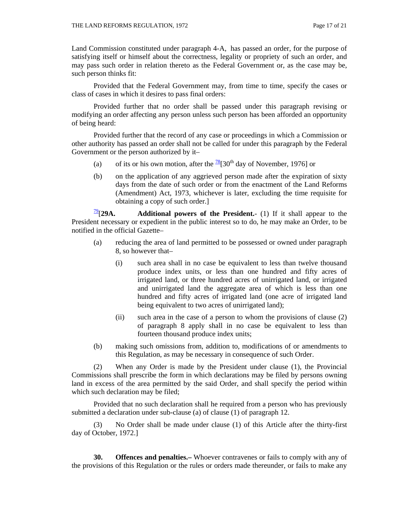Land Commission constituted under paragraph 4-A, has passed an order, for the purpose of satisfying itself or himself about the correctness, legality or propriety of such an order, and may pass such order in relation thereto as the Federal Government or, as the case may be, such person thinks fit:

 Provided that the Federal Government may, from time to time, specify the cases or class of cases in which it desires to pass final orders:

 Provided further that no order shall be passed under this paragraph revising or modifying an order affecting any person unless such person has been afforded an opportunity of being heard:

 Provided further that the record of any case or proceedings in which a Commission or other authority has passed an order shall not be called for under this paragraph by the Federal Government or the person authorized by it–

- (a) of its or his own motion, after the  $\frac{78}{30}$  day of November, 1976] or
- (b) on the application of any aggrieved person made after the expiration of sixty days from the date of such order or from the enactment of the Land Reforms (Amendment) Act, 1973, whichever is later, excluding the time requisite for obtaining a copy of such order.]

 $\frac{79}{2}$ [29A. Additional powers of the President.- (1) If it shall appear to the President necessary or expedient in the public interest so to do, he may make an Order, to be notified in the official Gazette–

- (a) reducing the area of land permitted to be possessed or owned under paragraph 8, so however that–
	- (i) such area shall in no case be equivalent to less than twelve thousand produce index units, or less than one hundred and fifty acres of irrigated land, or three hundred acres of unirrigated land, or irrigated and unirrigated land the aggregate area of which is less than one hundred and fifty acres of irrigated land (one acre of irrigated land being equivalent to two acres of unirrigated land);
	- (ii) such area in the case of a person to whom the provisions of clause (2) of paragraph 8 apply shall in no case be equivalent to less than fourteen thousand produce index units;
- (b) making such omissions from, addition to, modifications of or amendments to this Regulation, as may be necessary in consequence of such Order.

 (2) When any Order is made by the President under clause (1), the Provincial Commissions shall prescribe the form in which declarations may be filed by persons owning land in excess of the area permitted by the said Order, and shall specify the period within which such declaration may be filed;

 Provided that no such declaration shall he required from a person who has previously submitted a declaration under sub-clause (a) of clause (1) of paragraph 12.

 (3) No Order shall be made under clause (1) of this Article after the thirty-first day of October, 1972.]

**30. Offences and penalties.–** Whoever contravenes or fails to comply with any of the provisions of this Regulation or the rules or orders made thereunder, or fails to make any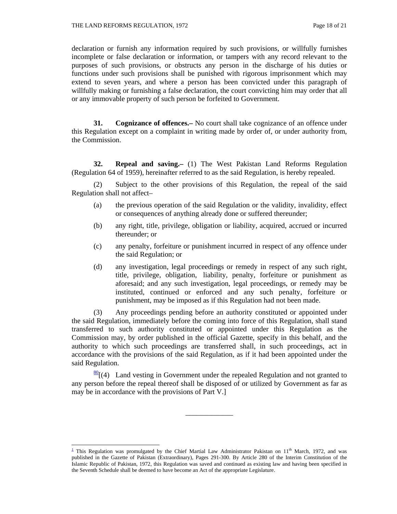declaration or furnish any information required by such provisions, or willfully furnishes incomplete or false declaration or information, or tampers with any record relevant to the purposes of such provisions, or obstructs any person in the discharge of his duties or functions under such provisions shall be punished with rigorous imprisonment which may extend to seven years, and where a person has been convicted under this paragraph of willfully making or furnishing a false declaration, the court convicting him may order that all or any immovable property of such person be forfeited to Government.

**31. Cognizance of offences.–** No court shall take cognizance of an offence under this Regulation except on a complaint in writing made by order of, or under authority from, the Commission.

**32. Repeal and saving.–** (1) The West Pakistan Land Reforms Regulation (Regulation 64 of 1959), hereinafter referred to as the said Regulation, is hereby repealed.

 (2) Subject to the other provisions of this Regulation, the repeal of the said Regulation shall not affect–

- (a) the previous operation of the said Regulation or the validity, invalidity, effect or consequences of anything already done or suffered thereunder;
- (b) any right, title, privilege, obligation or liability, acquired, accrued or incurred thereunder; or
- (c) any penalty, forfeiture or punishment incurred in respect of any offence under the said Regulation; or
- (d) any investigation, legal proceedings or remedy in respect of any such right, title, privilege, obligation, liability, penalty, forfeiture or punishment as aforesaid; and any such investigation, legal proceedings, or remedy may be instituted, continued or enforced and any such penalty, forfeiture or punishment, may be imposed as if this Regulation had not been made.

 (3) Any proceedings pending before an authority constituted or appointed under the said Regulation, immediately before the coming into force of this Regulation, shall stand transferred to such authority constituted or appointed under this Regulation as the Commission may, by order published in the official Gazette, specify in this behalf, and the authority to which such proceedings are transferred shall, in such proceedings, act in accordance with the provisions of the said Regulation, as if it had been appointed under the said Regulation.

 $\frac{80}{9}$ [(4) Land vesting in Government under the repealed Regulation and not granted to any person before the repeal thereof shall be disposed of or utilized by Government as far as may be in accordance with the provisions of Part V.]

\_\_\_\_\_\_\_\_\_\_\_\_\_

<sup>&</sup>lt;sup>1</sup> This Regulation was promulgated by the Chief Martial Law Administrator Pakistan on  $11<sup>th</sup>$  March, 1972, and was published in the Gazette of Pakistan (Extraordinary), Pages 291-300. By Article 280 of the Interim Constitution of the Islamic Republic of Pakistan, 1972, this Regulation was saved and continued as existing law and having been specified in the Seventh Schedule shall be deemed to have become an Act of the appropriate Legislature.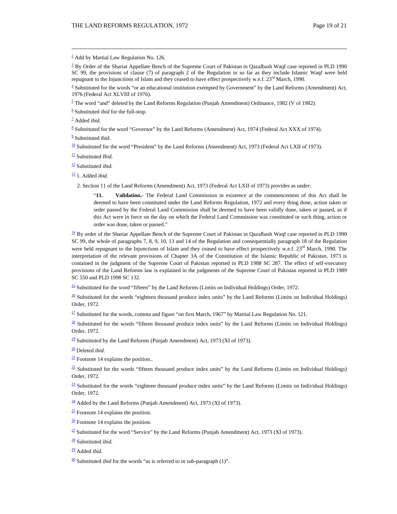$2$  Add by Martial Law Regulation No. 126.

 $3$  By Order of the Shariat Appellate Bench of the Supreme Court of Pakistan in Qazalbash Waqf case reported in PLD 1990 SC 99, the provisions of clause (7) of paragraph 2 of the Regulation in so far as they include Islamic Waqf were held repugnant to the Injunctions of Islam and they ceased to have effect prospectively w.e.f.  $23<sup>rd</sup>$  March, 1990.

<u> Louis Communication de la communication de la communication de la communication de la communication de la com</u>

 $4$  Substituted for the words "or an educational institution exempted by Government" by the Land Reforms (Amendment) Act, 1976 (Federal Act XLVIII of 1976).

 $\frac{5}{2}$  The word "and" deleted by the Land Reforms Regulation (Punjab Amendment) Ordinance, 1982 (V of 1982).

6 Substituted *ibid* for the full-stop.

7 Added *ibid.*

 $8$  Substituted for the word "Governor" by the Land Reforms (Amendment) Act, 1974 (Federal Act XXX of 1974).

<sup>9</sup> Substituted ibid.

 $\frac{10}{10}$  Substituted for the word "President" by the Land Reforms (Amendment) Act, 1973 (Federal Act LXII of 1973).

 $\frac{11}{2}$  Substituted *Ibid.* 

12 Substituted *ibid.*

 $\frac{13}{2}$  1. Added *ibid.* 

2. Section 11 of the Land Reforms (Amendment) Act, 1973 (Federal Act LXII of 1973) provides as under:

"**11. Validation.**- The Federal Land Commission in existence at the commencement of this Act shall be deemed to have been constituted under the Land Reforms Regulation, 1972 and every thing done, action taken or order passed by the Federal Land Commission shall be deemed to have been validly done, taken or passed, as if this Act were in force on the day on which the Federal Land Commission was constituted or such thing, action or order was done, taken or passed."

 $\frac{14}{14}$  By order of the Shariat Appellate Bench of the Supreme Court of Pakistan in Qazalbash Waqf case reported in PLD 1990 SC 99, the whole of paragraphs 7, 8, 9, 10, 13 and 14 of the Regulation and consequentially paragraph 18 of the Regulation were held repugnant to the Injunctions of Islam and they ceased to have effect prospectively w.e.f.  $23<sup>rd</sup>$  March, 1990. The interpretation of the relevant provisions of Chapter 3A of the Constitution of the Islamic Republic of Pakistan, 1973 is contained in the judgment of the Supreme Court of Pakistan reported in PLD 1988 SC 287. The effect of self-executory provisions of the Land Reforms law is explained in the judgments of the Supreme Court of Pakistan reported in PLD 1989 SC 550 and PLD 1998 SC 132.

<sup>15</sup> Substituted for the word "fifteen" by the Land Reforms (Limits on Individual Holdings) Order, 1972.

 $\frac{16}{16}$  Substituted for the words "eighteen thousand produce index units" by the Land Reforms (Limits on Individual Holdings) Order, 1972.

 $\frac{17}{2}$  Substituted for the words, comma and figure "on first March, 1967" by Martial Law Regulation No. 121.

 $\frac{18}{18}$  Substituted for the words "fifteen thousand produce index units" by the Land Reforms (Limits on Individual Holdings) Order, 1972.

 $\frac{19}{2}$  Substituted by the Land Reforms (Punjab Amendment) Act, 1973 (XI of 1973).

20 Deleted *ibid.*

 $\frac{21}{21}$  Footnote 14 explains the position..

 $\frac{22}{2}$  Substituted for the words "fifteen thousand produce index units" by the Land Reforms (Limits on Individual Holdings) Order, 1972.

 $\frac{23}{2}$  Substituted for the words "eighteen thousand produce index units" by the Land Reforms (Limits on Individual Holdings) Order, 1972.

 $\frac{24}{3}$  Added by the Land Reforms (Punjab Amendment) Act, 1973 (XI of 1973).

 $\frac{25}{5}$  Footnote 14 explains the position.

 $\frac{26}{5}$  Footnote 14 explains the position.

<sup>27</sup> Substituted for the word "Service" by the Land Reforms (Punjab Amendment) Act, 1973 (XI of 1973).

28 Substituted i*bid.*

29 Added *ibid.*

 $\frac{30}{20}$  Substituted *ibid* for the words "as is referred to in sub-paragraph (1)".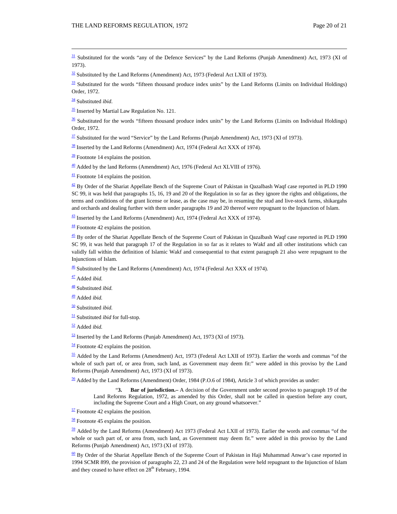<u> Louis Communication de la communication de la communication de la communication de la communication de la com</u>  $\frac{31}{21}$  Substituted for the words "any of the Defence Services" by the Land Reforms (Punjab Amendment) Act, 1973 (XI of 1973).

 $\frac{32}{2}$  Substituted by the Land Reforms (Amendment) Act, 1973 (Federal Act LXII of 1973).

 $\frac{33}{25}$  Substituted for the words "fifteen thousand produce index units" by the Land Reforms (Limits on Individual Holdings) Order, 1972.

34 Substituted *ibid*.

 $\frac{35}{2}$  Inserted by Martial Law Regulation No. 121.

 $\frac{36}{10}$  Substituted for the words "fifteen thousand produce index units" by the Land Reforms (Limits on Individual Holdings) Order, 1972.

 $\frac{37}{2}$  Substituted for the word "Service" by the Land Reforms (Punjab Amendment) Act, 1973 (XI of 1973).

 $\frac{38}{28}$  Inserted by the Land Reforms (Amendment) Act, 1974 (Federal Act XXX of 1974).

 $\frac{39}{2}$  Footnote 14 explains the position.

 $\frac{40}{2}$  Added by the land Reforms (Amendment) Act, 1976 (Federal Act XLVIII of 1976).

 $\frac{41}{2}$  Footnote 14 explains the position.

 $\frac{42}{2}$  By Order of the Shariat Appellate Bench of the Supreme Court of Pakistan in Qazalbash Waqf case reported in PLD 1990 SC 99, it was held that paragraphs 15, 16, 19 and 20 of the Regulation in so far as they ignore the rights and obligations, the terms and conditions of the grant license or lease, as the case may be, in resuming the stud and live-stock farms, shikargahs and orchards and dealing further with them under paragraphs 19 and 20 thereof were repugnant to the Injunction of Islam.

 $\frac{43}{2}$  Inserted by the Land Reforms (Amendment) Act, 1974 (Federal Act XXX of 1974).

 $\frac{44}{1}$  Footnote 42 explains the position.

 $\frac{45}{2}$  By order of the Shariat Appellate Bench of the Supreme Court of Pakistan in Qazalbash Waqf case reported in PLD 1990 SC 99, it was held that paragraph 17 of the Regulation in so far as it relates to Wakf and all other institutions which can validly fall within the definition of Islamic Wakf and consequential to that extent paragraph 21 also were repugnant to the Injunctions of Islam.

 $\frac{46}{2}$  Substituted by the Land Reforms (Amendment) Act, 1974 (Federal Act XXX of 1974).

47 Added *ibid.*

48 Substituted *ibid.*

49 Added *ibid.*

50 Substituted *ibid.*

51 Substituted *ibid* for full-stop*.*

52 Added *ibid.*

 $\frac{53}{2}$  Inserted by the Land Reforms (Punjab Amendment) Act, 1973 (XI of 1973).

 $\frac{54}{2}$  Footnote 42 explains the position.

 $\frac{55}{2}$  Added by the Land Reforms (Amendment) Act, 1973 (Federal Act LXII of 1973). Earlier the words and commas "of the whole of such part of, or area from, such land, as Government may deem fit:" were added in this proviso by the Land Reforms (Punjab Amendment) Act, 1973 (XI of 1973).

 $\frac{56}{10}$  Added by the Land Reforms (Amendment) Order, 1984 (P.O.6 of 1984), Article 3 of which provides as under:

"**3. Bar of jurisdiction.–** A decision of the Government under second proviso to paragraph 19 of the Land Reforms Regulation, 1972, as amended by this Order, shall not be called in question before any court, including the Supreme Court and a High Court, on any ground whatsoever."

 $\frac{57}{2}$  Footnote 42 explains the position.

 $\frac{58}{2}$  Footnote 45 explains the position.

 $59$  Added by the Land Reforms (Amendment) Act 1973 (Federal Act LXII of 1973). Earlier the words and commas "of the whole or such part of, or area from, such land, as Government may deem fit." were added in this proviso by the Land Reforms (Punjab Amendment) Act, 1973 (XI of 1973).

 $\frac{60}{2}$  By Order of the Shariat Appellate Bench of the Supreme Court of Pakistan in Haji Muhammad Anwar's case reported in 1994 SCMR 899, the provision of paragraphs 22, 23 and 24 of the Regulation were held repugnant to the Injunction of Islam and they ceased to have effect on 28<sup>th</sup> February, 1994.